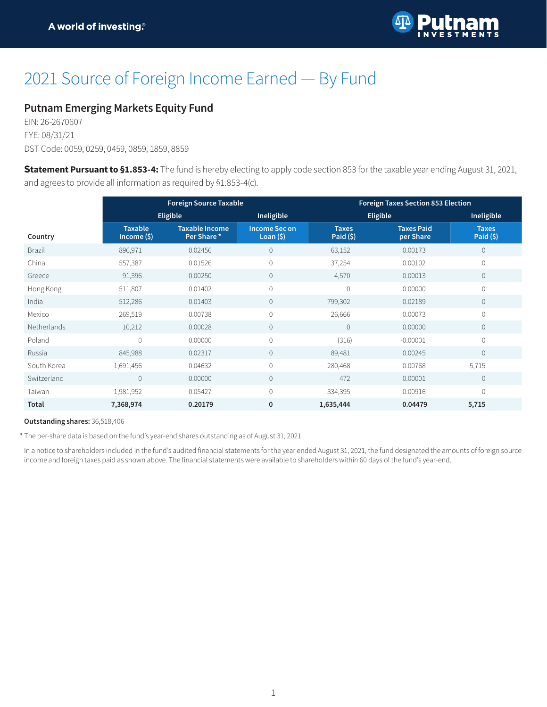

# 2021 Source of Foreign Income Earned — By Fund

### **Putnam Emerging Markets Equity Fund**

EIN: 26-2670607 FYE: 08/31/21 DST Code: 0059, 0259, 0459, 0859, 1859, 8859

**Statement Pursuant to §1.853-4:** The fund is hereby electing to apply code section 853 for the taxable year ending August 31, 2021, and agrees to provide all information as required by §1.853-4(c).

|               | <b>Foreign Source Taxable</b>   |                                      |                                    | <b>Foreign Taxes Section 853 Election</b> |                                |                            |
|---------------|---------------------------------|--------------------------------------|------------------------------------|-------------------------------------------|--------------------------------|----------------------------|
|               | <b>Eligible</b>                 |                                      | Ineligible                         |                                           | Eligible                       | Ineligible                 |
| Country       | <b>Taxable</b><br>Income $(\$)$ | <b>Taxable Income</b><br>Per Share * | <b>Income Sec on</b><br>Loan $(5)$ | <b>Taxes</b><br>Paid $(5)$                | <b>Taxes Paid</b><br>per Share | <b>Taxes</b><br>Paid $(5)$ |
| <b>Brazil</b> | 896,971                         | 0.02456                              | $\overline{0}$                     | 63,152                                    | 0.00173                        | $\mathbf{0}$               |
| China         | 557,387                         | 0.01526                              | 0                                  | 37,254                                    | 0.00102                        | $\mathbf 0$                |
| Greece        | 91,396                          | 0.00250                              | $\mathbf{0}$                       | 4,570                                     | 0.00013                        | $\overline{0}$             |
| Hong Kong     | 511,807                         | 0.01402                              | 0                                  | $\overline{0}$                            | 0.00000                        | $\overline{0}$             |
| India         | 512,286                         | 0.01403                              | $\mathbf{0}$                       | 799,302                                   | 0.02189                        | $\mathbf{0}$               |
| Mexico        | 269,519                         | 0.00738                              | 0                                  | 26,666                                    | 0.00073                        | $\mathbf 0$                |
| Netherlands   | 10,212                          | 0.00028                              | $\mathbf{0}$                       | $\theta$                                  | 0.00000                        | $\mathbf{0}$               |
| Poland        | $\mathbf{0}$                    | 0.00000                              | $\overline{0}$                     | (316)                                     | $-0.00001$                     | $\Omega$                   |
| Russia        | 845,988                         | 0.02317                              | $\mathbf{0}$                       | 89,481                                    | 0.00245                        | $\mathbf{0}$               |
| South Korea   | 1,691,456                       | 0.04632                              | $\overline{0}$                     | 280,468                                   | 0.00768                        | 5,715                      |
| Switzerland   | $\mathbf{0}$                    | 0.00000                              | $\mathbf{0}$                       | 472                                       | 0.00001                        | $\mathbf{0}$               |
| Taiwan        | 1,981,952                       | 0.05427                              | $\Omega$                           | 334,395                                   | 0.00916                        | $\Omega$                   |
| Total         | 7,368,974                       | 0.20179                              | $\mathbf 0$                        | 1,635,444                                 | 0.04479                        | 5,715                      |

#### **Outstanding shares:** 36,518,406

\* The per-share data is based on the fund's year-end shares outstanding as of August 31, 2021.

In a notice to shareholders included in the fund's audited financial statements for the year ended August 31, 2021, the fund designated the amounts of foreign source income and foreign taxes paid as shown above. The financial statements were available to shareholders within 60 days of the fund's year-end.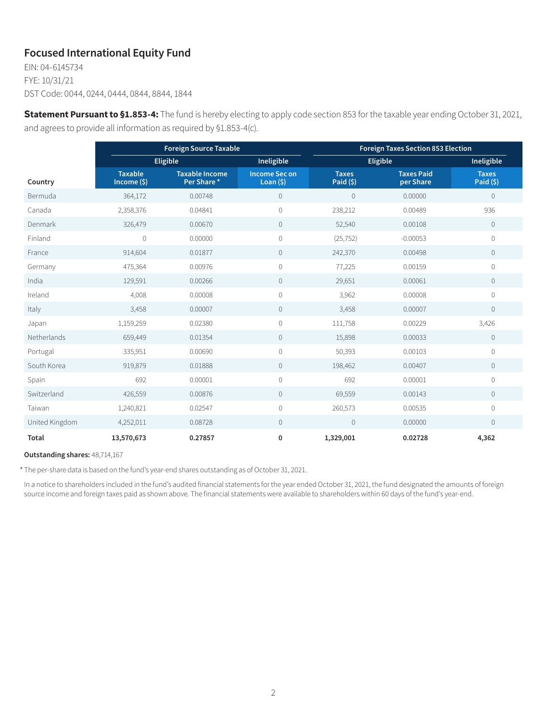## **Focused International Equity Fund**

EIN: 04-6145734 FYE: 10/31/21 DST Code: 0044, 0244, 0444, 0844, 8844, 1844

**Statement Pursuant to §1.853-4:** The fund is hereby electing to apply code section 853 for the taxable year ending October 31, 2021, and agrees to provide all information as required by §1.853-4(c).

|                | <b>Foreign Source Taxable</b> |                                     |                                    | <b>Foreign Taxes Section 853 Election</b> |                                |                            |  |
|----------------|-------------------------------|-------------------------------------|------------------------------------|-------------------------------------------|--------------------------------|----------------------------|--|
|                | <b>Eligible</b>               |                                     | Ineligible                         | Eligible                                  |                                | Ineligible                 |  |
| Country        | <b>Taxable</b><br>Income (\$) | <b>Taxable Income</b><br>Per Share* | <b>Income Sec on</b><br>Loan $(5)$ | <b>Taxes</b><br>Paid $(5)$                | <b>Taxes Paid</b><br>per Share | <b>Taxes</b><br>Paid $(5)$ |  |
| Bermuda        | 364,172                       | 0.00748                             | $\circ$                            | $\mathbb O$                               | 0.00000                        | $\mathbf 0$                |  |
| Canada         | 2,358,376                     | 0.04841                             | 0                                  | 238,212                                   | 0.00489                        | 936                        |  |
| Denmark        | 326,479                       | 0.00670                             | $\circ$                            | 52,540                                    | 0.00108                        | $\mathbf 0$                |  |
| Finland        | $\mathbf 0$                   | 0.00000                             | $\mathbf 0$                        | (25, 752)                                 | $-0.00053$                     | $\mathbf 0$                |  |
| France         | 914,604                       | 0.01877                             | $\circ$                            | 242,370                                   | 0.00498                        | $\mathbb O$                |  |
| Germany        | 475,364                       | 0.00976                             | 0                                  | 77,225                                    | 0.00159                        | $\mathbf 0$                |  |
| India          | 129,591                       | 0.00266                             | $\overline{0}$                     | 29,651                                    | 0.00061                        | $\mathbf 0$                |  |
| Ireland        | 4,008                         | 0.00008                             | $\mathbf 0$                        | 3,962                                     | 0.00008                        | $\mathbf 0$                |  |
| Italy          | 3,458                         | 0.00007                             | $\circ$                            | 3,458                                     | 0.00007                        | $\mathbf 0$                |  |
| Japan          | 1,159,259                     | 0.02380                             | 0                                  | 111,758                                   | 0.00229                        | 3,426                      |  |
| Netherlands    | 659,449                       | 0.01354                             | $\circ$                            | 15,898                                    | 0.00033                        | $\mathbb O$                |  |
| Portugal       | 335,951                       | 0.00690                             | $\mathbf 0$                        | 50,393                                    | 0.00103                        | $\mathbf 0$                |  |
| South Korea    | 919,879                       | 0.01888                             | $\circ$                            | 198,462                                   | 0.00407                        | $\mathbb O$                |  |
| Spain          | 692                           | 0.00001                             | 0                                  | 692                                       | 0.00001                        | $\mathbf 0$                |  |
| Switzerland    | 426,559                       | 0.00876                             | $\circ$                            | 69,559                                    | 0.00143                        | $\mathbf 0$                |  |
| Taiwan         | 1,240,821                     | 0.02547                             | $\mathbf 0$                        | 260,573                                   | 0.00535                        | $\mathbf 0$                |  |
| United Kingdom | 4,252,011                     | 0.08728                             | $\circ$                            | $\mathbf 0$                               | 0.00000                        | $\mathbf 0$                |  |
| Total          | 13,570,673                    | 0.27857                             | 0                                  | 1,329,001                                 | 0.02728                        | 4,362                      |  |

**Outstanding shares:** 48,714,167

\* The per-share data is based on the fund's year-end shares outstanding as of October 31, 2021.

In a notice to shareholders included in the fund's audited financial statements for the year ended October 31, 2021, the fund designated the amounts of foreign source income and foreign taxes paid as shown above. The financial statements were available to shareholders within 60 days of the fund's year-end.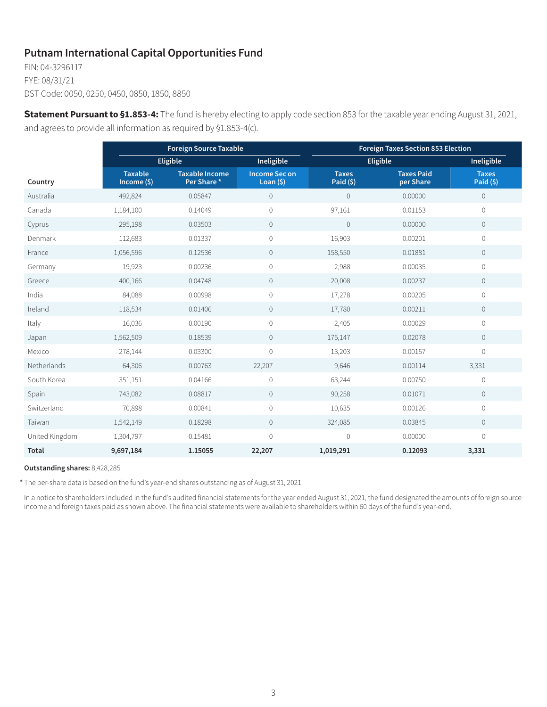## **Putnam International Capital Opportunities Fund**

EIN: 04-3296117 FYE: 08/31/21 DST Code: 0050, 0250, 0450, 0850, 1850, 8850

**Statement Pursuant to §1.853-4:** The fund is hereby electing to apply code section 853 for the taxable year ending August 31, 2021, and agrees to provide all information as required by §1.853-4(c).

|                | <b>Foreign Source Taxable</b> |                                     |                                    | <b>Foreign Taxes Section 853 Election</b> |                                |                            |
|----------------|-------------------------------|-------------------------------------|------------------------------------|-------------------------------------------|--------------------------------|----------------------------|
|                | <b>Eligible</b>               |                                     | Ineligible                         | Eligible                                  |                                | Ineligible                 |
| Country        | <b>Taxable</b><br>Income (\$) | <b>Taxable Income</b><br>Per Share* | <b>Income Sec on</b><br>Loan $(5)$ | <b>Taxes</b><br>Paid (\$)                 | <b>Taxes Paid</b><br>per Share | <b>Taxes</b><br>Paid $(5)$ |
| Australia      | 492,824                       | 0.05847                             | $\mathbb O$                        | $\circ$                                   | 0.00000                        | $\circ$                    |
| Canada         | 1,184,100                     | 0.14049                             | $\overline{0}$                     | 97,161                                    | 0.01153                        | $\overline{0}$             |
| Cyprus         | 295,198                       | 0.03503                             | $\mathbb O$                        | $\mathbf{0}$                              | 0.00000                        | $\circ$                    |
| Denmark        | 112,683                       | 0.01337                             | $\mathbf 0$                        | 16,903                                    | 0.00201                        | $\mathbf 0$                |
| France         | 1,056,596                     | 0.12536                             | $\overline{0}$                     | 158,550                                   | 0.01881                        | $\overline{0}$             |
| Germany        | 19,923                        | 0.00236                             | $\mathbb O$                        | 2,988                                     | 0.00035                        | $\mathbf 0$                |
| Greece         | 400,166                       | 0.04748                             | $\overline{0}$                     | 20,008                                    | 0.00237                        | $\overline{0}$             |
| India          | 84,088                        | 0.00998                             | $\mathbf 0$                        | 17,278                                    | 0.00205                        | $\circ$                    |
| Ireland        | 118,534                       | 0.01406                             | $\circ$                            | 17,780                                    | 0.00211                        | $\circ$                    |
| Italy          | 16,036                        | 0.00190                             | $\circ$                            | 2,405                                     | 0.00029                        | 0                          |
| Japan          | 1,562,509                     | 0.18539                             | $\overline{0}$                     | 175,147                                   | 0.02078                        | $\overline{0}$             |
| Mexico         | 278,144                       | 0.03300                             | $\overline{0}$                     | 13,203                                    | 0.00157                        | $\overline{0}$             |
| Netherlands    | 64,306                        | 0.00763                             | 22,207                             | 9,646                                     | 0.00114                        | 3,331                      |
| South Korea    | 351,151                       | 0.04166                             | $\mathbf 0$                        | 63,244                                    | 0.00750                        | $\overline{0}$             |
| Spain          | 743,082                       | 0.08817                             | $\circ$                            | 90,258                                    | 0.01071                        | $\circ$                    |
| Switzerland    | 70,898                        | 0.00841                             | $\mathbf{0}$                       | 10,635                                    | 0.00126                        | $\overline{0}$             |
| Taiwan         | 1,542,149                     | 0.18298                             | $\overline{0}$                     | 324,085                                   | 0.03845                        | $\overline{0}$             |
| United Kingdom | 1,304,797                     | 0.15481                             | $\Omega$                           | $\circ$                                   | 0.00000                        | $\overline{0}$             |
| <b>Total</b>   | 9,697,184                     | 1.15055                             | 22,207                             | 1,019,291                                 | 0.12093                        | 3,331                      |

#### **Outstanding shares:** 8,428,285

\* The per-share data is based on the fund's year-end shares outstanding as of August 31, 2021.

In a notice to shareholders included in the fund's audited financial statements for the year ended August 31, 2021, the fund designated the amounts of foreign source income and foreign taxes paid as shown above. The financial statements were available to shareholders within 60 days of the fund's year-end.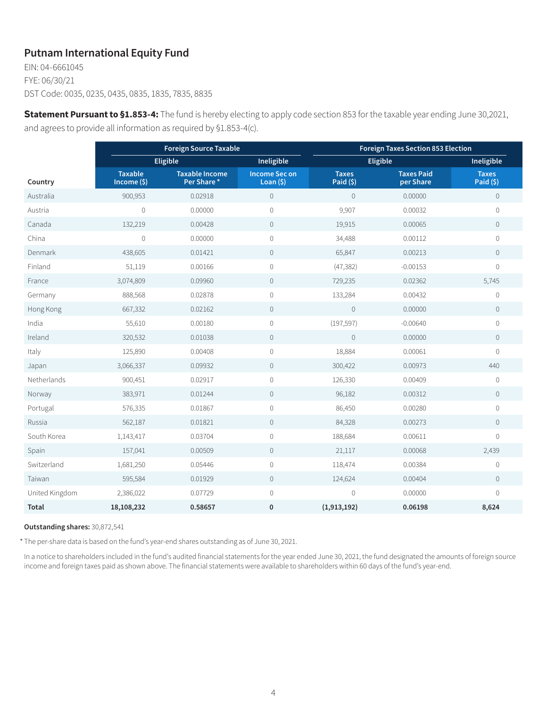## **Putnam International Equity Fund**

EIN: 04-6661045 FYE: 06/30/21 DST Code: 0035, 0235, 0435, 0835, 1835, 7835, 8835

**Statement Pursuant to §1.853-4:** The fund is hereby electing to apply code section 853 for the taxable year ending June 30,2021, and agrees to provide all information as required by §1.853-4(c).

|                | <b>Foreign Source Taxable</b>   |                                     |                                    | <b>Foreign Taxes Section 853 Election</b> |                                |                           |
|----------------|---------------------------------|-------------------------------------|------------------------------------|-------------------------------------------|--------------------------------|---------------------------|
|                |                                 | Eligible                            | Ineligible                         |                                           | <b>Eligible</b>                | Ineligible                |
| Country        | <b>Taxable</b><br>$Income($ \$) | <b>Taxable Income</b><br>Per Share* | <b>Income Sec on</b><br>Loan $(5)$ | <b>Taxes</b><br>Paid $(5)$                | <b>Taxes Paid</b><br>per Share | <b>Taxes</b><br>Paid (\$) |
| Australia      | 900,953                         | 0.02918                             | $\overline{0}$                     | $\circ$                                   | 0.00000                        | $\mathbb O$               |
| Austria        | $\mathbf 0$                     | 0.00000                             | 0                                  | 9,907                                     | 0.00032                        | $\overline{0}$            |
| Canada         | 132,219                         | 0.00428                             | $\mathbf 0$                        | 19,915                                    | 0.00065                        | $\overline{0}$            |
| China          | $\overline{0}$                  | 0.00000                             | 0                                  | 34,488                                    | 0.00112                        | $\overline{0}$            |
| Denmark        | 438,605                         | 0.01421                             | $\overline{0}$                     | 65,847                                    | 0.00213                        | $\circ$                   |
| Finland        | 51,119                          | 0.00166                             | 0                                  | (47, 382)                                 | $-0.00153$                     | $\Omega$                  |
| France         | 3,074,809                       | 0.09960                             | $\mathbb O$                        | 729,235                                   | 0.02362                        | 5,745                     |
| Germany        | 888,568                         | 0.02878                             | 0                                  | 133,284                                   | 0.00432                        | $\overline{0}$            |
| Hong Kong      | 667,332                         | 0.02162                             | $\overline{0}$                     | $\overline{0}$                            | 0.00000                        | $\overline{0}$            |
| India          | 55,610                          | 0.00180                             | 0                                  | (197, 597)                                | $-0.00640$                     | $\overline{0}$            |
| Ireland        | 320,532                         | 0.01038                             | $\overline{0}$                     | $\overline{0}$                            | 0.00000                        | $\circ$                   |
| Italy          | 125,890                         | 0.00408                             | 0                                  | 18,884                                    | 0.00061                        | $\overline{0}$            |
| Japan          | 3,066,337                       | 0.09932                             | $\overline{0}$                     | 300,422                                   | 0.00973                        | 440                       |
| Netherlands    | 900,451                         | 0.02917                             | 0                                  | 126,330                                   | 0.00409                        | $\mathbf 0$               |
| Norway         | 383,971                         | 0.01244                             | $\overline{0}$                     | 96,182                                    | 0.00312                        | $\overline{0}$            |
| Portugal       | 576,335                         | 0.01867                             | 0                                  | 86,450                                    | 0.00280                        | $\overline{0}$            |
| Russia         | 562,187                         | 0.01821                             | $\overline{0}$                     | 84,328                                    | 0.00273                        | $\overline{0}$            |
| South Korea    | 1,143,417                       | 0.03704                             | 0                                  | 188,684                                   | 0.00611                        | $\Omega$                  |
| Spain          | 157,041                         | 0.00509                             | $\circ$                            | 21,117                                    | 0.00068                        | 2,439                     |
| Switzerland    | 1,681,250                       | 0.05446                             | 0                                  | 118,474                                   | 0.00384                        | $\mathbf 0$               |
| Taiwan         | 595,584                         | 0.01929                             | $\overline{0}$                     | 124,624                                   | 0.00404                        | $\circ$                   |
| United Kingdom | 2,386,022                       | 0.07729                             | 0                                  | $\overline{0}$                            | 0.00000                        | $\overline{0}$            |
| Total          | 18,108,232                      | 0.58657                             | 0                                  | (1,913,192)                               | 0.06198                        | 8,624                     |

#### **Outstanding shares:** 30,872,541

\* The per-share data is based on the fund's year-end shares outstanding as of June 30, 2021.

In a notice to shareholders included in the fund's audited financial statements for the year ended June 30, 2021, the fund designated the amounts of foreign source income and foreign taxes paid as shown above. The financial statements were available to shareholders within 60 days of the fund's year-end.